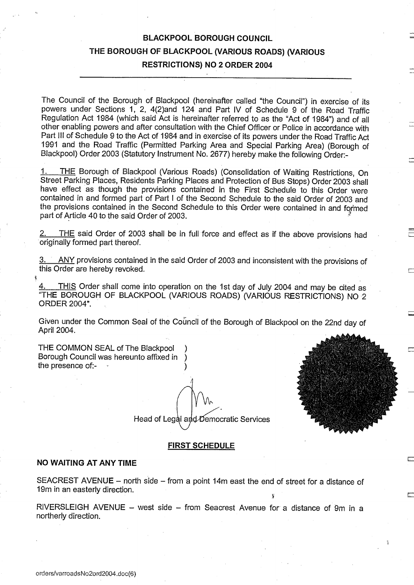# BLACKPOOL BOROUGH COUNCIL THE BOROUGH OF BLACKPOOL (VARIOUS ROADS) (VARIOUS RESTRICTIONS) NO <sup>2</sup> ORDER 2004

The Council of the Borough of Blackpool (hereinafter called "the Council") in exercise of its powers under Sections 1, 2, 4(2)and 124 and Part IV of Schedule 9 of the Road Traffic Regulation Act 1984 (which said Act is hereinafter referred to as the "Act of 1984") and of all other enabling powers and after consultation with the Chief Officer or Police in accordance with Part III of Schedule 9 to the Act of 1984 and in exercise of its powers under the Road Traffic Act 1991 and the Road Traffic (Permitted Parking Area and Special Parking Area) (Borough of Blackpool) Order 2003 (Statutory Instrument No. 2677) hereby make the following Order:-

THE Borough of Blackpool (Various Roads) (Consolidation of Waiting Restrictions, On Street Parking Places, Residents Parking Places and Protection of Bus Stops) Order 2003 shall have effect as though the provisions contained in the First Schedule to this Order were contained in and formed part of Part <sup>I</sup> of the Second Schedule to the said Order of 2003 and the provisions contained in the Second Schedule to this Order were contained in and formed part of Article 40 to the said Order of 2003.

THE said Order of 2003 shall be in full force and effect as if the above provisions had originally formed part thereof.

ANY provisions contained in the said Order of 2003 and inconsistent with the provisions of this Order are hereby revoked.

THIS Order shall come into operation on the 1st day of July 2004 and may be cited as "THE BOROUGH OF BLACKPOOL (VARIOUS ROADS) (VARIOUS RESTRICTIONS) NO 2 ORDER 2004".

Given under the Common Seal of the Council of the Borough of Blackpool on the 22nd day of April 2004.

THE COMMON SEAL of The Blackpool ) Borough Council was hereunto affixed in ) the presence of:-

# FIRST SCHEDULE

Head of Legal and Democratic Services

#### NO WAITING AT ANY TIME

SEACREST AVENUE - north side - from a point 14m east the end of street for a distance of 19m in an easterly direction.

RIVERSLEIGH AVENUE - west side - from Seacrest Avenue for a distance of 9m in a northerly direction.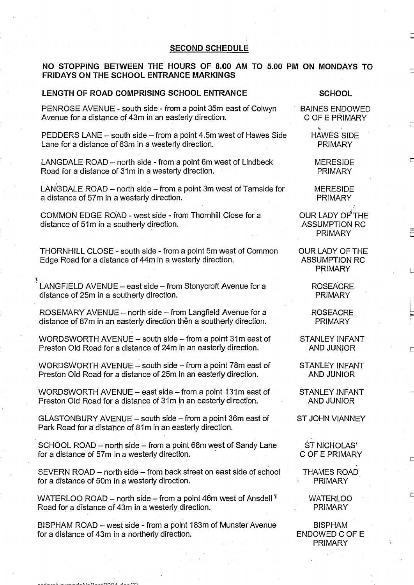### SECOND SCHEDULE

### NO STOPPING BETWEEN THE HOURS OF 8.00 AM TO 5.00 PM ON MONDAYS TO FRIDAYS ON THE SCHOOL ENTRANCE MARKINGS

#### LENGTH OF ROAD COMPRISING SCHOOL ENTRANCE SCHOOL

PENROSE AVENUE - south side - from a point 35m east of Colwyn BAINES ENDOWED<br>Avenue for a distance of 43m in an easterly direction. C OF E PRIMARY Avenue for a distance of 43m in an easterly direction.

PEDDERS LANE – south side – from a point 4.5m west of Hawes Side HAWES SIDE<br>Lane for a distance of 63m in a westerly direction. Lane for a distance of 63m in a westerly direction.

LANGDALE ROAD - north side - from a point 6m west of Lindbeck MERESIDE<br>Road for a distance of 31m in a westerly direction. Road for a distance of 31m in a westerly direction.

LANGDALE ROAD – north side – from a point 3m west of Tarnside for MERESIDE a distance of 57m in a westerly direction. a distance of 57m in a westerly direction.

COMMON EDGE ROAD - west side - from Thornhill Close for a COUR LADY OF THE<br>distance of 51m in a southerly direction. ASSUMPTION RC distance of 51m in a southerly direction.

THORNHILL CLOSE - south side - from a point 5m west of Common OUR LADY OF THE<br>Edge Road for a distance of 44m in a westerly direction. ASSUMPTION RC Edge Road for a distance of 44m in a westerly direction.

LANGFIELD AVENUE – east side – from Stonycroft Avenue for a ROSEACRE<br>distance of 25m in a southerly direction. distance of 25m in a southerly direction.

ROSEMARY AVENUE - north side - from Langfield Avenue for a ROSEACRE<br>distance of 87m in an easterly direction then a southerly direction. PRIMARY distance of 87m in an easterly direction then a southerly direction.

WORDSWORTH AVENUE – south side – from a point 31m east of STANLEY INFANT<br>Preston Old Road for a distance of 24m in an easterly direction. AND JUNIOR Preston Old Road for a distance of 24m in an easterly direction.

WORDSWORTH AVENUE – south side – from a point 78m east of STANLEY INFANT<br>Preston Old Road for a distance of 25m in an easterly direction. AND JUNIOR Preston Old Road for a distance of 25m in an easterly direction.

WORDSWORTH AVENUE – east side – from a point 131m east of STANLEY INFANT<br>Preston Old Road for a distance of 31m in an easterly direction. AND JUNIOR Preston Old Road for a distance of 31m in an easterly direction.

GLASTONBURY AVENUE - south side - from a point 36m east of ST JOHN VIANNEY Park Road-for a distance of 81m in an easterly direction.

SCHOOL ROAD – north side – from a point 68m west of Sandy Lane ST NICHOLAS'<br>for a distance of 57m in a westerly direction. C OF E PRIMARY for a distance of 57m in a westerly direction.

SEVERN ROAD – north side – from back street on east side of school THAMES ROAD<br>for a distance of 50m in a westerly direction. for a distance of 50m in a westerly direction.

WATERLOO ROAD – north side – from a point 46m west of Ansdell  $^*$  WATERLOO<br>Road for a distance of 43m in a westerly direction. The more realisting that the real property of the more real property Road for a distance of 43m in a westerly direction.

BISPHAM ROAD – west side - from a point 183m of Munster Avenue BISPHAM<br>for a distance of 43m in a northerly direction. for a distance of 43m in a northerly direction.

PRIMARY

**PRIMARY** 

п

PRIMARY